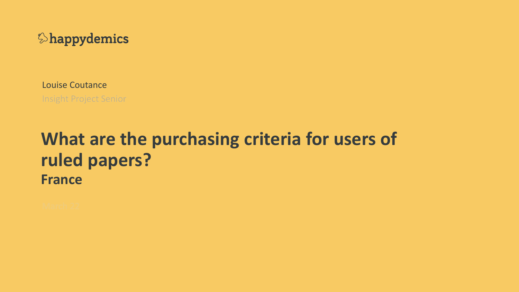

Louise Coutance **Insight Project Senior** 

# **What are the purchasing criteria for users of ruled papers? France**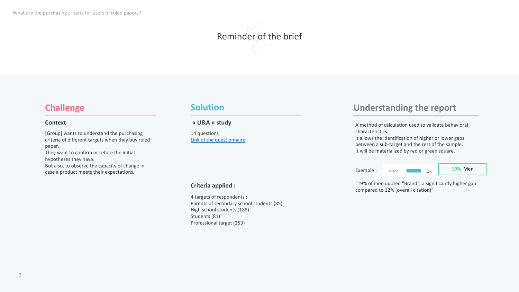What are the purchasing criteria for users of ruled papers?



#### **Challenge**

#### **Context**

[Group] wants to understand the purchasing criteria of different targets when they buy ruled paper.

They want to confirm or refute the initial hypotheses they have.

But also, to observe the capacity of change in case a product meets their expectations.

#### **Solution**

#### **« U&A » study**

14 questions Link of the questionnaire

#### **Criteria applied :**

4 targets of respondents : Parents of secondary school students (85) High school students (188) Students (81) Professional target (253)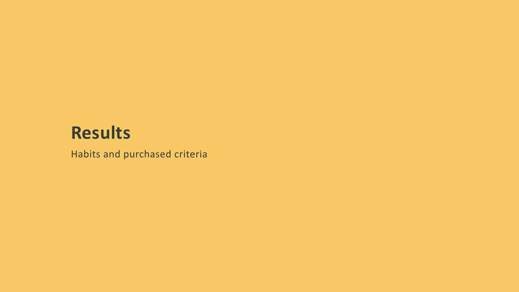# **Results**

Habits and purchased criteria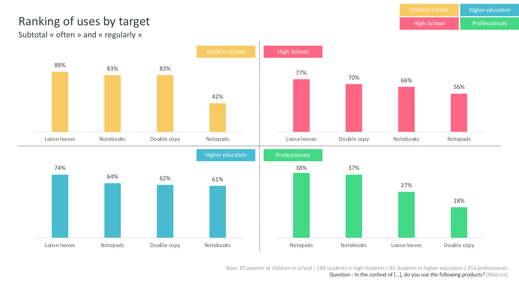High School Higher education

### Ranking of uses by target and the contract of the second and the Professionals

Subtotal « often » and « regularly »



Base: 85 parents of children in school / 188 students in high students / 81 students in higher education / 253 professionals Question : In the context of […], do you use the following products? [Matrice]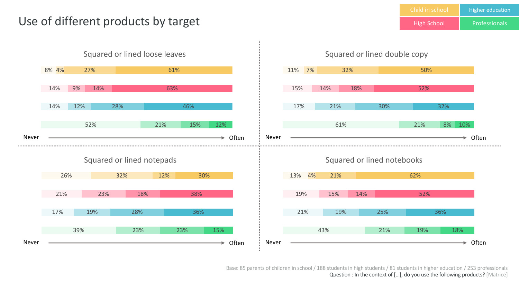### Use of different products by target



Base: 85 parents of children in school / 188 students in high students / 81 students in higher education / 253 professionals Question : In the context of […], do you use the following products? [Matrice]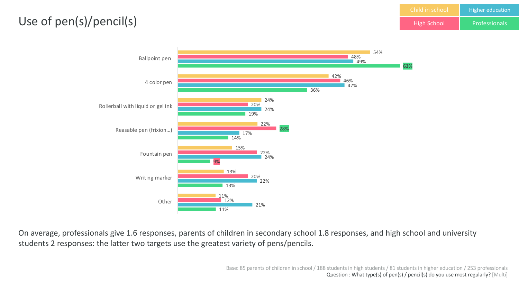### Use of pen(s)/pencil(s)



On average, professionals give 1.6 responses, parents of children in secondary school 1.8 responses, and high school and university students 2 responses: the latter two targets use the greatest variety of pens/pencils.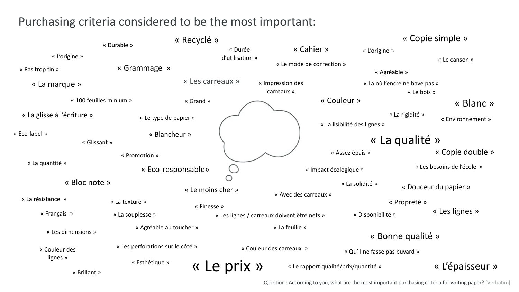### Purchasing criteria considered to be the most important:

|                            |                                    | « Recyclé » |                                     |                                             |            |                                      |                                              | « Copie simple »      |  |
|----------------------------|------------------------------------|-------------|-------------------------------------|---------------------------------------------|------------|--------------------------------------|----------------------------------------------|-----------------------|--|
| « L'origine »              | « Durable »                        |             | « Durée<br>d'utilisation »          |                                             | « Cahier » | « L'origine »                        |                                              | « Le canson »         |  |
| « Pas trop fin »           | « Grammage »                       |             |                                     | « Le mode de confection »                   |            | « Agréable »                         |                                              |                       |  |
| « La marque »              | « Les carreaux »                   |             |                                     | « Impression des<br>carreaux »              |            |                                      | « La où l'encre ne bave pas »<br>« Le bois » |                       |  |
| « 100 feuilles minium »    |                                    | « Grand »   |                                     |                                             |            | « Couleur »                          |                                              | « Blanc »             |  |
| « La glisse à l'écriture » | « Le type de papier »              |             |                                     |                                             |            | « La lisibilité des lignes »         | « La rigidité »                              | « Environnement »     |  |
| « Eco-label »              | « Blancheur »<br>« Glissant »      |             |                                     |                                             |            | « La qualité »                       |                                              |                       |  |
|                            | « Promotion »                      |             |                                     |                                             |            | « Assez épais »                      |                                              | « Copie double »      |  |
| « La quantité »            | « Eco-responsable»                 |             |                                     | « Impact écologique »<br>$\bigcirc$         |            |                                      | « Les besoins de l'école »                   |                       |  |
|                            | « Bloc note »<br>« Le moins cher » |             | « Avec des carreaux »               |                                             |            | « La solidité »                      |                                              | « Douceur du papier » |  |
| « La résistance »          | « La texture »                     | « Finesse » |                                     |                                             |            |                                      | « Propreté »                                 |                       |  |
| « Français »               | « La souplesse »                   |             |                                     | « Les lignes / carreaux doivent être nets » |            | « Disponibilité »                    |                                              | « Les lignes »        |  |
| « Les dimensions »         | « Agréable au toucher »            |             | « La feuille »<br>« Bonne qualité » |                                             |            |                                      |                                              |                       |  |
| « Couleur des              | « Les perforations sur le côté »   |             | « Couleur des carreaux »            |                                             |            | « Qu'il ne fasse pas buvard »        |                                              |                       |  |
| lignes »<br>« Brillant »   | « Esthétique »                     |             | Le prix »                           |                                             |            | « Le rapport qualité/prix/quantité » |                                              | « L'épaisseur »       |  |

Question : According to you, what are the most important purchasing criteria for writing paper? [Verbatim]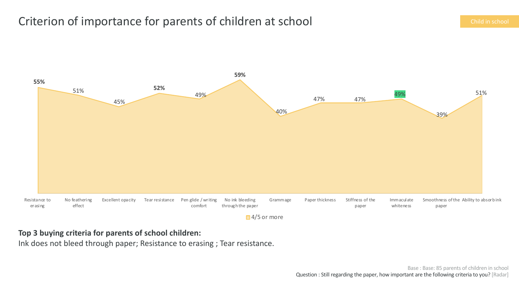### Criterion of importance for parents of children at school Child in school Child in school



#### **Top 3 buying criteria for parents of school children:**

Ink does not bleed through paper; Resistance to erasing ; Tear resistance.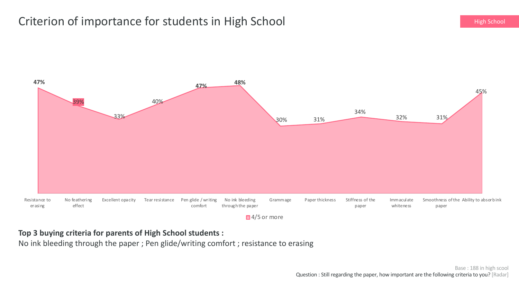### Criterion of importance for students in High School **Example 20 and Criterion** High School



**Top 3 buying criteria for parents of High School students :** 

No ink bleeding through the paper ; Pen glide/writing comfort ; resistance to erasing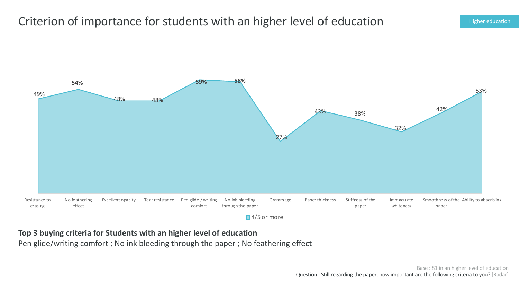### Criterion of importance for students with an higher level of education Higher education



**Top 3 buying criteria for Students with an higher level of education**

Pen glide/writing comfort ; No ink bleeding through the paper ; No feathering effect

Base : 81 in an higher level of education Question : Still regarding the paper, how important are the following criteria to you? [Radar]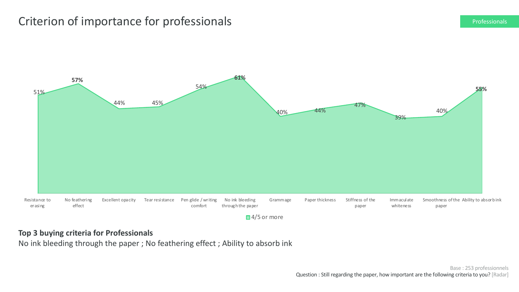### Criterion of importance for professionals **Exercise Criterion Criterion Criterion** Professionals



#### **Top 3 buying criteria for Professionals**

No ink bleeding through the paper ; No feathering effect ; Ability to absorb ink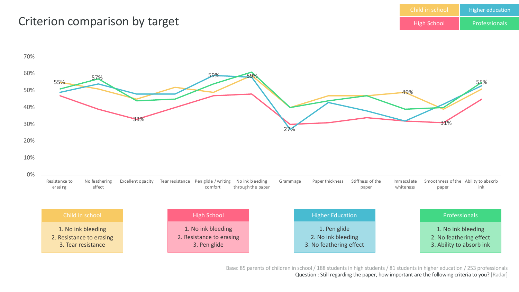#### Child in school High School Higher education Professionals

### Criterion comparison by target



Base: 85 parents of children in school / 188 students in high students / 81 students in higher education / 253 professionals Question : Still regarding the paper, how important are the following criteria to you? [Radar]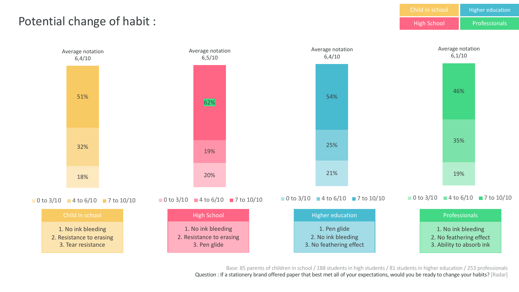

Base: 85 parents of children in school / 188 students in high students / 81 students in higher education / 253 professionals Question : If a stationery brand offered paper that best met all of your expectations, would you be ready to change your habits? [Radar]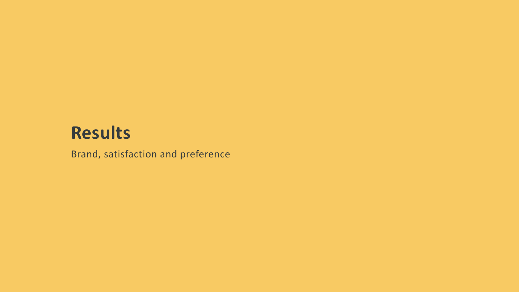# **Results**

Brand, satisfaction and preference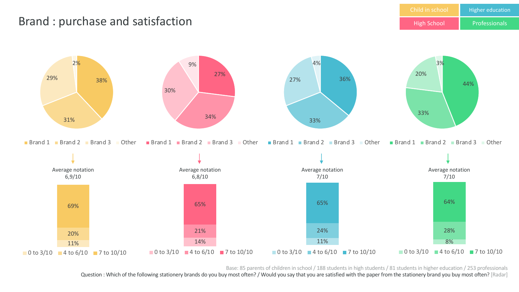### Brand : purchase and satisfaction



Base: 85 parents of children in school / 188 students in high students / 81 students in higher education / 253 professionals

Question : Which of the following stationery brands do you buy most often? / Would you say that you are satisfied with the paper from the stationery brand you buy most often? [Radar]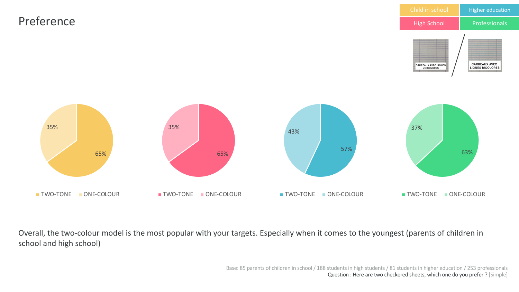

Overall, the two-colour model is the most popular with your targets. Especially when it comes to the youngest (parents of children in school and high school)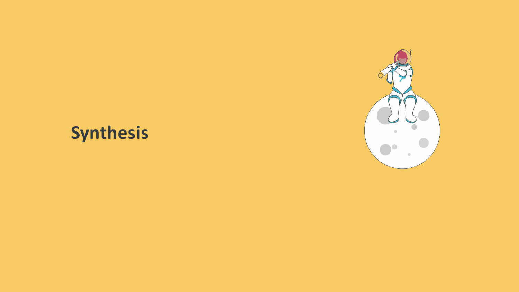# **Synthesis**

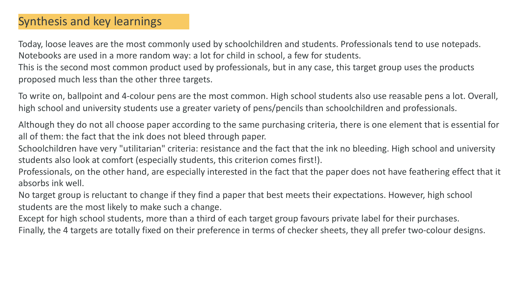### Synthesis and key learnings

Today, loose leaves are the most commonly used by schoolchildren and students. Professionals tend to use notepads. Notebooks are used in a more random way: a lot for child in school, a few for students.

This is the second most common product used by professionals, but in any case, this target group uses the products proposed much less than the other three targets.

To write on, ballpoint and 4-colour pens are the most common. High school students also use reasable pens a lot. Overall, high school and university students use a greater variety of pens/pencils than schoolchildren and professionals.

Although they do not all choose paper according to the same purchasing criteria, there is one element that is essential for all of them: the fact that the ink does not bleed through paper.

Schoolchildren have very "utilitarian" criteria: resistance and the fact that the ink no bleeding. High school and university students also look at comfort (especially students, this criterion comes first!).

Professionals, on the other hand, are especially interested in the fact that the paper does not have feathering effect that it absorbs ink well.

No target group is reluctant to change if they find a paper that best meets their expectations. However, high school students are the most likely to make such a change.

Except for high school students, more than a third of each target group favours private label for their purchases. Finally, the 4 targets are totally fixed on their preference in terms of checker sheets, they all prefer two-colour designs.